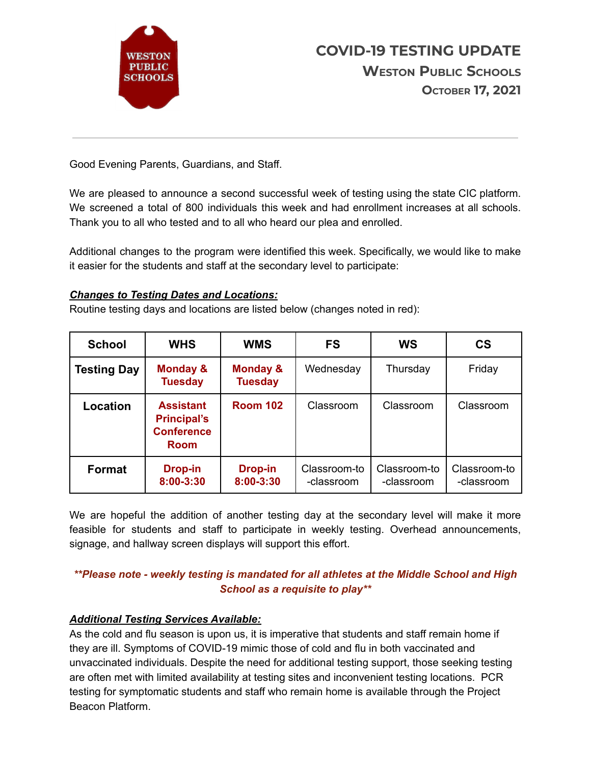

Good Evening Parents, Guardians, and Staff.

We are pleased to announce a second successful week of testing using the state CIC platform. We screened a total of 800 individuals this week and had enrollment increases at all schools. Thank you to all who tested and to all who heard our plea and enrolled.

Additional changes to the program were identified this week. Specifically, we would like to make it easier for the students and staff at the secondary level to participate:

#### *Changes to Testing Dates and Locations:*

Routine testing days and locations are listed below (changes noted in red):

| <b>School</b>      | <b>WHS</b>                                                                 | <b>WMS</b>                  | <b>FS</b>                  | WS                         | <b>CS</b>                  |
|--------------------|----------------------------------------------------------------------------|-----------------------------|----------------------------|----------------------------|----------------------------|
| <b>Testing Day</b> | Monday &<br><b>Tuesday</b>                                                 | Monday &<br><b>Tuesday</b>  | Wednesday                  | Thursday                   | Friday                     |
| Location           | <b>Assistant</b><br><b>Principal's</b><br><b>Conference</b><br><b>Room</b> | <b>Room 102</b>             | Classroom                  | Classroom                  | Classroom                  |
| <b>Format</b>      | <b>Drop-in</b><br>8:00-3:30                                                | <b>Drop-in</b><br>8:00-3:30 | Classroom-to<br>-classroom | Classroom-to<br>-classroom | Classroom-to<br>-classroom |

We are hopeful the addition of another testing day at the secondary level will make it more feasible for students and staff to participate in weekly testing. Overhead announcements, signage, and hallway screen displays will support this effort.

# *\*\*Please note - weekly testing is mandated for all athletes at the Middle School and High School as a requisite to play\*\**

### *Additional Testing Services Available:*

As the cold and flu season is upon us, it is imperative that students and staff remain home if they are ill. Symptoms of COVID-19 mimic those of cold and flu in both vaccinated and unvaccinated individuals. Despite the need for additional testing support, those seeking testing are often met with limited availability at testing sites and inconvenient testing locations. PCR testing for symptomatic students and staff who remain home is available through the Project Beacon Platform.